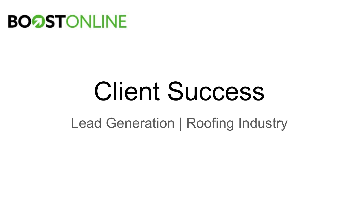

# Client Success

Lead Generation | Roofing Industry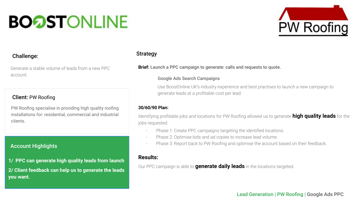## **BOOSTONLINE**



#### Challenge:

Generate a stable volume of leads from a new PPC account.

#### Client: PW Roofing

PW Roofing specialise in providing high quality roofing installations for: residential, commercial and industrial clients.

#### Account Highlights

**1/ PPC can generate high quality leads from launch 2/ Client feedback can help us to generate the leads you want.**

#### Strategy

**Brief:** Launch a PPC campaign to generate: calls and requests to quote.

#### Google Ads Search Campaigns

Use BoostOnline UK's industry experience and best practises to launch a new campaign to generate leads at a profitable cost per lead.

#### **30/60/90 Plan:**

Identifying profitable jobs and locations for PW Roofing allowed us to generate **high quality leads** for the jobs requested.

- Phase 1: Create PPC campaigns targeting the identified locations.
- Phase 2: Optimise bids and ad copies to increase lead volume.
- Phase 3: Report back to PW Roofing and optimise the account based on their feedback.

#### **Results:**

Our PPC campaign is able to **generate daily leads** in the locations targeted.

#### Lead Generation | PW Roofing | Google Ads PPC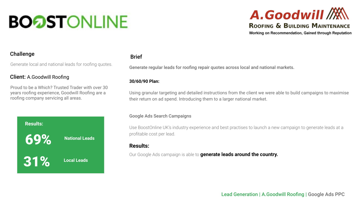### **BOOSTONLINE**

### A.Goodwill M **ROOFING & BUILDING MAINTENANCE**

Working on Recommendation, Gained through Reputation

#### Challenge

Generate local and national leads for roofing quotes.

#### Client: A.Goodwill Roofing

Proud to be a Which? Trusted Trader with over 30 years roofing experience, Goodwill Roofing are a roofing company servicing all areas.



#### Brief

Generate regular leads for roofing repair quotes across local and national markets.

#### **30/60/90 Plan:**

Using granular targeting and detailed instructions from the client we were able to build campaigns to maximise their return on ad spend. Introducing them to a larger national market.

#### Google Ads Search Campaigns

Use BoostOnline UK's industry experience and best practises to launch a new campaign to generate leads at a profitable cost per lead.

#### **Results:**

Our Google Ads campaign is able to **generate leads around the country.**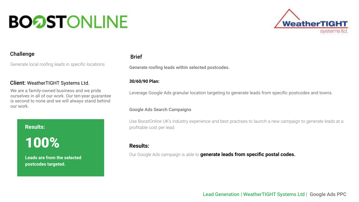## **BOOSTONLINE**



#### Challenge

Generate local roofing leads in specific locations

#### Client: WeatherTIGHT Systems Ltd.

We are a family-owned business and we pride ourselves in all of our work. Our ten-year guarantee is second to none and we will always stand behind our work.

**Results:**

100%

**Leads are from the selected postcodes targeted.** 

#### Brief

Generate roofing leads within selected postcodes.

#### **30/60/90 Plan:**

Leverage Google Ads granular location targeting to generate leads from specific postcodes and towns.

#### Google Ads Search Campaigns

Use BoostOnline UK's industry experience and best practises to launch a new campaign to generate leads at a profitable cost per lead.

#### **Results:**

Our Google Ads campaign is able to **generate leads from specific postal codes.**